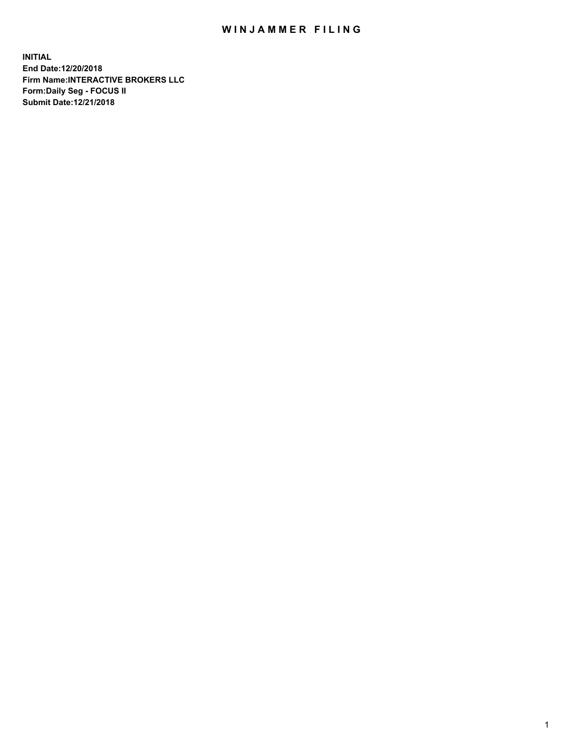## WIN JAMMER FILING

**INITIAL End Date:12/20/2018 Firm Name:INTERACTIVE BROKERS LLC Form:Daily Seg - FOCUS II Submit Date:12/21/2018**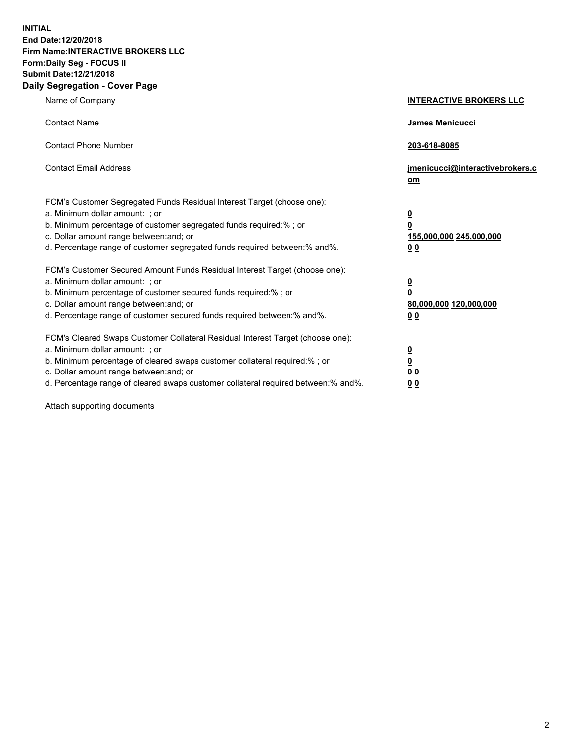**INITIAL End Date:12/20/2018 Firm Name:INTERACTIVE BROKERS LLC Form:Daily Seg - FOCUS II Submit Date:12/21/2018 Daily Segregation - Cover Page**

| Name of Company                                                                                                                                                                                                                                                                                                                | <b>INTERACTIVE BROKERS LLC</b>                                                                  |
|--------------------------------------------------------------------------------------------------------------------------------------------------------------------------------------------------------------------------------------------------------------------------------------------------------------------------------|-------------------------------------------------------------------------------------------------|
| <b>Contact Name</b>                                                                                                                                                                                                                                                                                                            | James Menicucci                                                                                 |
| <b>Contact Phone Number</b>                                                                                                                                                                                                                                                                                                    | 203-618-8085                                                                                    |
| <b>Contact Email Address</b>                                                                                                                                                                                                                                                                                                   | jmenicucci@interactivebrokers.c<br>om                                                           |
| FCM's Customer Segregated Funds Residual Interest Target (choose one):<br>a. Minimum dollar amount: ; or<br>b. Minimum percentage of customer segregated funds required:%; or<br>c. Dollar amount range between: and; or<br>d. Percentage range of customer segregated funds required between:% and%.                          | $\overline{\mathbf{0}}$<br>$\overline{\mathbf{0}}$<br>155,000,000 245,000,000<br>0 <sub>0</sub> |
| FCM's Customer Secured Amount Funds Residual Interest Target (choose one):<br>a. Minimum dollar amount: ; or<br>b. Minimum percentage of customer secured funds required:% ; or<br>c. Dollar amount range between: and; or<br>d. Percentage range of customer secured funds required between:% and%.                           | $\overline{\mathbf{0}}$<br>$\overline{\mathbf{0}}$<br>80,000,000 120,000,000<br>0 <sub>0</sub>  |
| FCM's Cleared Swaps Customer Collateral Residual Interest Target (choose one):<br>a. Minimum dollar amount: ; or<br>b. Minimum percentage of cleared swaps customer collateral required:% ; or<br>c. Dollar amount range between: and; or<br>d. Percentage range of cleared swaps customer collateral required between:% and%. | $\overline{\mathbf{0}}$<br>$\underline{\mathbf{0}}$<br>0 <sub>0</sub><br>0 <sub>0</sub>         |

Attach supporting documents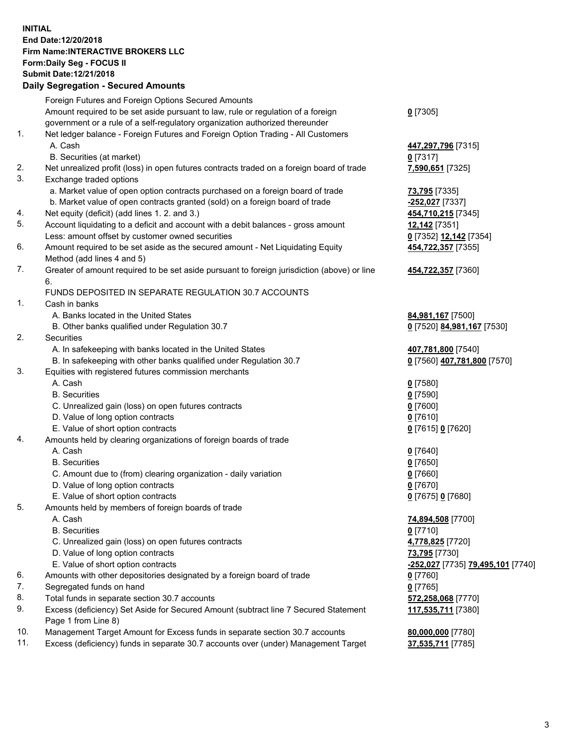## **INITIAL End Date:12/20/2018 Firm Name:INTERACTIVE BROKERS LLC Form:Daily Seg - FOCUS II Submit Date:12/21/2018 Daily Segregation - Secured Amounts**

|                | Daily Jegregation - Jeculed Aniounts                                                              |                                   |
|----------------|---------------------------------------------------------------------------------------------------|-----------------------------------|
|                | Foreign Futures and Foreign Options Secured Amounts                                               |                                   |
|                | Amount required to be set aside pursuant to law, rule or regulation of a foreign                  | $0$ [7305]                        |
|                | government or a rule of a self-regulatory organization authorized thereunder                      |                                   |
| $\mathbf{1}$ . | Net ledger balance - Foreign Futures and Foreign Option Trading - All Customers                   |                                   |
|                | A. Cash                                                                                           | 447,297,796 [7315]                |
|                | B. Securities (at market)                                                                         | $0$ [7317]                        |
| 2.             | Net unrealized profit (loss) in open futures contracts traded on a foreign board of trade         | 7,590,651 [7325]                  |
| 3.             | Exchange traded options                                                                           |                                   |
|                | a. Market value of open option contracts purchased on a foreign board of trade                    | 73,795 [7335]                     |
|                | b. Market value of open contracts granted (sold) on a foreign board of trade                      | -252,027 [7337]                   |
| 4.             | Net equity (deficit) (add lines 1. 2. and 3.)                                                     | 454,710,215 [7345]                |
| 5.             | Account liquidating to a deficit and account with a debit balances - gross amount                 | 12,142 [7351]                     |
|                | Less: amount offset by customer owned securities                                                  | 0 [7352] 12,142 [7354]            |
| 6.             | Amount required to be set aside as the secured amount - Net Liquidating Equity                    | 454,722,357 [7355]                |
|                | Method (add lines 4 and 5)                                                                        |                                   |
| 7.             | Greater of amount required to be set aside pursuant to foreign jurisdiction (above) or line<br>6. | 454,722,357 [7360]                |
|                | FUNDS DEPOSITED IN SEPARATE REGULATION 30.7 ACCOUNTS                                              |                                   |
| 1.             | Cash in banks                                                                                     |                                   |
|                | A. Banks located in the United States                                                             | 84,981,167 [7500]                 |
|                | B. Other banks qualified under Regulation 30.7                                                    | 0 [7520] 84,981,167 [7530]        |
| 2.             | Securities                                                                                        |                                   |
|                | A. In safekeeping with banks located in the United States                                         | 407,781,800 [7540]                |
|                | B. In safekeeping with other banks qualified under Regulation 30.7                                | 0 [7560] 407,781,800 [7570]       |
| 3.             | Equities with registered futures commission merchants                                             |                                   |
|                | A. Cash                                                                                           | $0$ [7580]                        |
|                | <b>B.</b> Securities                                                                              | $0$ [7590]                        |
|                | C. Unrealized gain (loss) on open futures contracts                                               | $0$ [7600]                        |
|                | D. Value of long option contracts                                                                 | $0$ [7610]                        |
|                | E. Value of short option contracts                                                                | 0 [7615] 0 [7620]                 |
| 4.             | Amounts held by clearing organizations of foreign boards of trade                                 |                                   |
|                | A. Cash                                                                                           | $Q$ [7640]                        |
|                | <b>B.</b> Securities                                                                              | $0$ [7650]                        |
|                | C. Amount due to (from) clearing organization - daily variation                                   | $0$ [7660]                        |
|                | D. Value of long option contracts                                                                 | $0$ [7670]                        |
|                | E. Value of short option contracts                                                                | 0 [7675] 0 [7680]                 |
| 5.             | Amounts held by members of foreign boards of trade                                                |                                   |
|                | A. Cash                                                                                           | 74,894,508 [7700]                 |
|                | <b>B.</b> Securities                                                                              | $0$ [7710]                        |
|                | C. Unrealized gain (loss) on open futures contracts                                               | 4,778,825 [7720]                  |
|                | D. Value of long option contracts                                                                 | 73,795 [7730]                     |
|                | E. Value of short option contracts                                                                | -252,027 [7735] 79,495,101 [7740] |
| 6.             | Amounts with other depositories designated by a foreign board of trade                            | 0 [7760]                          |
| 7.             | Segregated funds on hand                                                                          | $0$ [7765]                        |
| 8.             | Total funds in separate section 30.7 accounts                                                     | 572,258,068 [7770]                |
| 9.             | Excess (deficiency) Set Aside for Secured Amount (subtract line 7 Secured Statement               | 117,535,711 [7380]                |
|                | Page 1 from Line 8)                                                                               |                                   |
| 10.            | Management Target Amount for Excess funds in separate section 30.7 accounts                       | 80,000,000 [7780]                 |
| 11.            | Excess (deficiency) funds in separate 30.7 accounts over (under) Management Target                | 37,535,711 [7785]                 |
|                |                                                                                                   |                                   |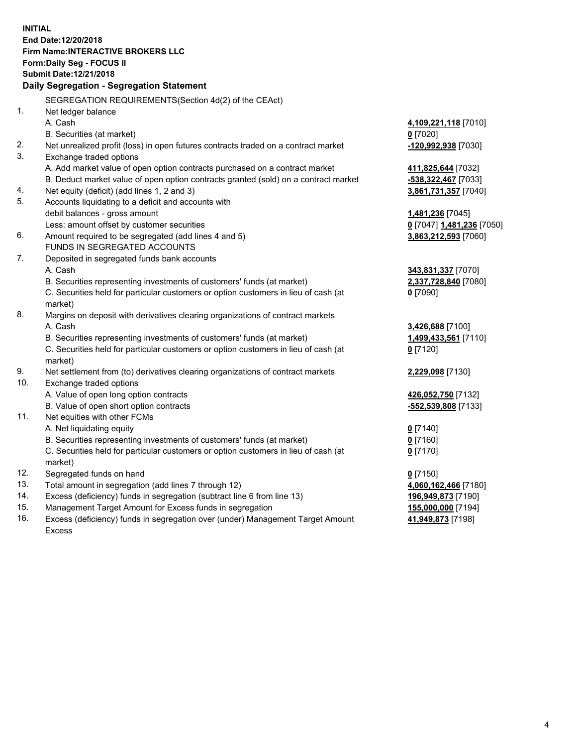**INITIAL End Date:12/20/2018 Firm Name:INTERACTIVE BROKERS LLC Form:Daily Seg - FOCUS II Submit Date:12/21/2018 Daily Segregation - Segregation Statement** SEGREGATION REQUIREMENTS(Section 4d(2) of the CEAct) 1. Net ledger balance A. Cash **4,109,221,118** [7010] B. Securities (at market) **0** [7020] 2. Net unrealized profit (loss) in open futures contracts traded on a contract market **-120,992,938** [7030] 3. Exchange traded options A. Add market value of open option contracts purchased on a contract market **411,825,644** [7032] B. Deduct market value of open option contracts granted (sold) on a contract market **-538,322,467** [7033] 4. Net equity (deficit) (add lines 1, 2 and 3) **3,861,731,357** [7040] 5. Accounts liquidating to a deficit and accounts with debit balances - gross amount **1,481,236** [7045] Less: amount offset by customer securities **0** [7047] **1,481,236** [7050] 6. Amount required to be segregated (add lines 4 and 5) **3,863,212,593** [7060] FUNDS IN SEGREGATED ACCOUNTS 7. Deposited in segregated funds bank accounts A. Cash **343,831,337** [7070] B. Securities representing investments of customers' funds (at market) **2,337,728,840** [7080] C. Securities held for particular customers or option customers in lieu of cash (at market) **0** [7090] 8. Margins on deposit with derivatives clearing organizations of contract markets A. Cash **3,426,688** [7100] B. Securities representing investments of customers' funds (at market) **1,499,433,561** [7110] C. Securities held for particular customers or option customers in lieu of cash (at market) **0** [7120] 9. Net settlement from (to) derivatives clearing organizations of contract markets **2,229,098** [7130] 10. Exchange traded options A. Value of open long option contracts **426,052,750** [7132] B. Value of open short option contracts **-552,539,808** [7133] 11. Net equities with other FCMs A. Net liquidating equity **0** [7140] B. Securities representing investments of customers' funds (at market) **0** [7160] C. Securities held for particular customers or option customers in lieu of cash (at market) **0** [7170] 12. Segregated funds on hand **0** [7150] 13. Total amount in segregation (add lines 7 through 12) **4,060,162,466** [7180] 14. Excess (deficiency) funds in segregation (subtract line 6 from line 13) **196,949,873** [7190] 15. Management Target Amount for Excess funds in segregation **155,000,000** [7194] **41,949,873** [7198]

16. Excess (deficiency) funds in segregation over (under) Management Target Amount Excess